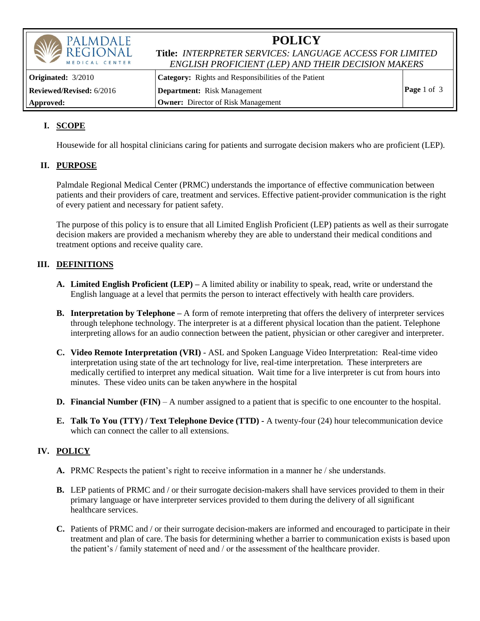| PALMDALE<br><b>REGIONAL</b><br>MEDICAL CENTER | <b>POLICY</b><br>Title: INTERPRETER SERVICES: LANGUAGE ACCESS FOR LIMITED<br>ENGLISH PROFICIENT (LEP) AND THEIR DECISION MAKERS |               |
|-----------------------------------------------|---------------------------------------------------------------------------------------------------------------------------------|---------------|
| <b>Originated:</b> 3/2010                     | Category: Rights and Responsibilities of the Patient                                                                            |               |
| Reviewed/Revised: 6/2016                      | <b>Department:</b> Risk Management                                                                                              | Page 1 of $3$ |
| Approved:                                     | <b>Owner:</b> Director of Risk Management                                                                                       |               |

# **I. SCOPE**

Housewide for all hospital clinicians caring for patients and surrogate decision makers who are proficient (LEP).

## **II. PURPOSE**

Palmdale Regional Medical Center (PRMC) understands the importance of effective communication between patients and their providers of care, treatment and services. Effective patient-provider communication is the right of every patient and necessary for patient safety.

The purpose of this policy is to ensure that all Limited English Proficient (LEP) patients as well as their surrogate decision makers are provided a mechanism whereby they are able to understand their medical conditions and treatment options and receive quality care.

## **III. DEFINITIONS**

- **A. Limited English Proficient (LEP) –** A limited ability or inability to speak, read, write or understand the English language at a level that permits the person to interact effectively with health care providers.
- **B. Interpretation by Telephone –** A form of remote interpreting that offers the delivery of interpreter services through telephone technology. The interpreter is at a different physical location than the patient. Telephone interpreting allows for an audio connection between the patient, physician or other caregiver and interpreter.
- **C. Video Remote Interpretation (VRI)**  ASL and Spoken Language Video Interpretation: Real-time video interpretation using state of the art technology for live, real-time interpretation. These interpreters are medically certified to interpret any medical situation. Wait time for a live interpreter is cut from hours into minutes. These video units can be taken anywhere in the hospital
- **D. Financial Number (FIN)** A number assigned to a patient that is specific to one encounter to the hospital.
- **E. Talk To You (TTY) / Text Telephone Device (TTD) -** A twenty-four (24) hour telecommunication device which can connect the caller to all extensions.

## **IV. POLICY**

- **A.** PRMC Respects the patient's right to receive information in a manner he / she understands.
- **B.** LEP patients of PRMC and / or their surrogate decision-makers shall have services provided to them in their primary language or have interpreter services provided to them during the delivery of all significant healthcare services.
- **C.** Patients of PRMC and / or their surrogate decision-makers are informed and encouraged to participate in their treatment and plan of care. The basis for determining whether a barrier to communication exists is based upon the patient's / family statement of need and / or the assessment of the healthcare provider.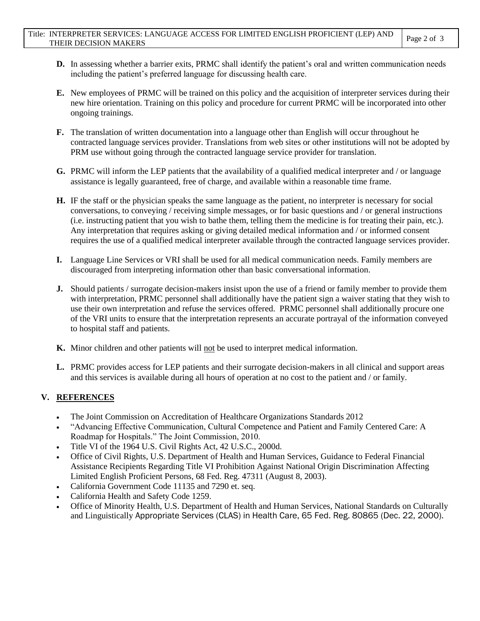- **D.** In assessing whether a barrier exits, PRMC shall identify the patient's oral and written communication needs including the patient's preferred language for discussing health care.
- **E.** New employees of PRMC will be trained on this policy and the acquisition of interpreter services during their new hire orientation. Training on this policy and procedure for current PRMC will be incorporated into other ongoing trainings.
- **F.** The translation of written documentation into a language other than English will occur throughout he contracted language services provider. Translations from web sites or other institutions will not be adopted by PRM use without going through the contracted language service provider for translation.
- **G.** PRMC will inform the LEP patients that the availability of a qualified medical interpreter and / or language assistance is legally guaranteed, free of charge, and available within a reasonable time frame.
- **H.** IF the staff or the physician speaks the same language as the patient, no interpreter is necessary for social conversations, to conveying / receiving simple messages, or for basic questions and / or general instructions (i.e. instructing patient that you wish to bathe them, telling them the medicine is for treating their pain, etc.). Any interpretation that requires asking or giving detailed medical information and / or informed consent requires the use of a qualified medical interpreter available through the contracted language services provider.
- **I.** Language Line Services or VRI shall be used for all medical communication needs. Family members are discouraged from interpreting information other than basic conversational information.
- **J.** Should patients / surrogate decision-makers insist upon the use of a friend or family member to provide them with interpretation, PRMC personnel shall additionally have the patient sign a waiver stating that they wish to use their own interpretation and refuse the services offered. PRMC personnel shall additionally procure one of the VRI units to ensure that the interpretation represents an accurate portrayal of the information conveyed to hospital staff and patients.
- **K.** Minor children and other patients will not be used to interpret medical information.
- **L.** PRMC provides access for LEP patients and their surrogate decision-makers in all clinical and support areas and this services is available during all hours of operation at no cost to the patient and / or family.

### **V. REFERENCES**

- The Joint Commission on Accreditation of Healthcare Organizations Standards 2012
- "Advancing Effective Communication, Cultural Competence and Patient and Family Centered Care: A Roadmap for Hospitals." The Joint Commission, 2010.
- Title VI of the 1964 U.S. Civil Rights Act, 42 U.S.C., 2000d.
- Office of Civil Rights, U.S. Department of Health and Human Services, Guidance to Federal Financial Assistance Recipients Regarding Title VI Prohibition Against National Origin Discrimination Affecting Limited English Proficient Persons, 68 Fed. Reg. 47311 (August 8, 2003).
- California Government Code 11135 and 7290 et. seq.
- California Health and Safety Code 1259.
- Office of Minority Health, U.S. Department of Health and Human Services, National Standards on Culturally and Linguistically Appropriate Services (CLAS) in Health Care, 65 Fed. Reg. 80865 (Dec. 22, 2000).